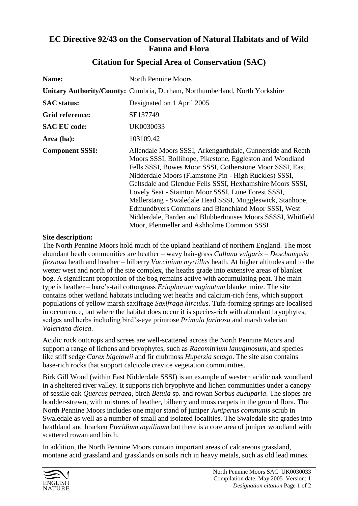## **EC Directive 92/43 on the Conservation of Natural Habitats and of Wild Fauna and Flora**

| Name:                  | <b>North Pennine Moors</b>                                                                                                                                                                                                                                                                                                                                                                                                                                                                                                                                                                     |
|------------------------|------------------------------------------------------------------------------------------------------------------------------------------------------------------------------------------------------------------------------------------------------------------------------------------------------------------------------------------------------------------------------------------------------------------------------------------------------------------------------------------------------------------------------------------------------------------------------------------------|
|                        | <b>Unitary Authority/County: Cumbria, Durham, Northumberland, North Yorkshire</b>                                                                                                                                                                                                                                                                                                                                                                                                                                                                                                              |
| <b>SAC</b> status:     | Designated on 1 April 2005                                                                                                                                                                                                                                                                                                                                                                                                                                                                                                                                                                     |
| Grid reference:        | SE137749                                                                                                                                                                                                                                                                                                                                                                                                                                                                                                                                                                                       |
| <b>SAC EU code:</b>    | UK0030033                                                                                                                                                                                                                                                                                                                                                                                                                                                                                                                                                                                      |
| Area (ha):             | 103109.42                                                                                                                                                                                                                                                                                                                                                                                                                                                                                                                                                                                      |
| <b>Component SSSI:</b> | Allendale Moors SSSI, Arkengarthdale, Gunnerside and Reeth<br>Moors SSSI, Bollihope, Pikestone, Eggleston and Woodland<br>Fells SSSI, Bowes Moor SSSI, Cotherstone Moor SSSI, East<br>Nidderdale Moors (Flamstone Pin - High Ruckles) SSSI,<br>Geltsdale and Glendue Fells SSSI, Hexhamshire Moors SSSI,<br>Lovely Seat - Stainton Moor SSSI, Lune Forest SSSI,<br>Mallerstang - Swaledale Head SSSI, Muggleswick, Stanhope,<br>Edmundbyers Commons and Blanchland Moor SSSI, West<br>Nidderdale, Barden and Blubberhouses Moors SSSSI, Whitfield<br>Moor, Plenmeller and Ashholme Common SSSI |

## **Citation for Special Area of Conservation (SAC)**

## **Site description:**

The North Pennine Moors hold much of the upland heathland of northern England. The most abundant heath communities are heather – wavy hair-grass *Calluna vulgaris* – *Deschampsia flexuosa* heath and heather – bilberry *Vaccinium myrtillus* heath. At higher altitudes and to the wetter west and north of the site complex, the heaths grade into extensive areas of blanket bog. A significant proportion of the bog remains active with accumulating peat. The main type is heather – hare's-tail cottongrass *Eriophorum vaginatum* blanket mire. The site contains other wetland habitats including wet heaths and calcium-rich fens, which support populations of yellow marsh saxifrage *Saxifraga hirculus*. Tufa-forming springs are localised in occurrence, but where the habitat does occur it is species-rich with abundant bryophytes, sedges and herbs including bird's-eye primrose *Primula farinosa* and marsh valerian *Valeriana dioica*.

Acidic rock outcrops and screes are well-scattered across the North Pennine Moors and support a range of lichens and bryophytes, such as *Racomitrium lanuginosum*, and species like stiff sedge *Carex bigelowii* and fir clubmoss *Huperzia selago*. The site also contains base-rich rocks that support calcicole crevice vegetation communities.

Birk Gill Wood (within East Nidderdale SSSI) is an example of western acidic oak woodland in a sheltered river valley. It supports rich bryophyte and lichen communities under a canopy of sessile oak *Quercus petraea*, birch *Betula* sp. and rowan *Sorbus aucuparia*. The slopes are boulder-strewn, with mixtures of heather, bilberry and moss carpets in the ground flora. The North Pennine Moors includes one major stand of juniper *Juniperus communis* scrub in Swaledale as well as a number of small and isolated localities. The Swaledale site grades into heathland and bracken *Pteridium aquilinum* but there is a core area of juniper woodland with scattered rowan and birch.

In addition, the North Pennine Moors contain important areas of calcareous grassland, montane acid grassland and grasslands on soils rich in heavy metals, such as old lead mines.